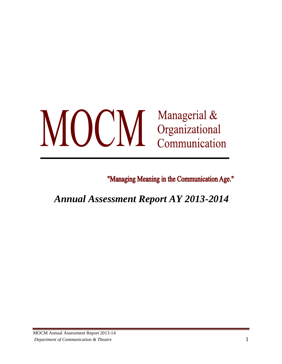# MOCM Managerial &<br>Communicational<br>Communication

"Managing Meaning in the Communication Age."

*Annual Assessment Report AY 2013-2014*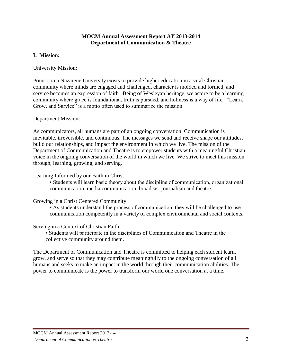#### **MOCM Annual Assessment Report AY 2013-2014 Department of Communication & Theatre**

#### **I. Mission:**

University Mission:

Point Loma Nazarene University exists to provide higher education in a vital Christian community where minds are engaged and challenged, character is molded and formed, and service becomes an expression of faith. Being of Wesleyan heritage, we aspire to be a learning community where grace is foundational, truth is pursued, and holiness is a way of life. "Learn, Grow, and Service" is a motto often used to summarize the mission.

Department Mission:

As communicators, all humans are part of an ongoing conversation. Communication is inevitable, irreversible, and continuous. The messages we send and receive shape our attitudes, build our relationships, and impact the environment in which we live. The mission of the Department of Communication and Theatre is to empower students with a meaningful Christian voice in the ongoing conversation of the world in which we live. We strive to meet this mission through, learning, growing, and serving.

#### Learning Informed by our Faith in Christ

• Students will learn basic theory about the discipline of communication, organizational communication, media communication, broadcast journalism and theatre.

#### Growing in a Christ Centered Community

• As students understand the process of communication, they will be challenged to use communication competently in a variety of complex environmental and social contexts.

#### Serving in a Context of Christian Faith

• Students will participate in the disciplines of Communication and Theatre in the collective community around them.

The Department of Communication and Theatre is committed to helping each student learn, grow, and serve so that they may contribute meaningfully to the ongoing conversation of all humans and seeks to make an impact in the world through their communication abilities. The power to communicate is the power to transform our world one conversation at a time.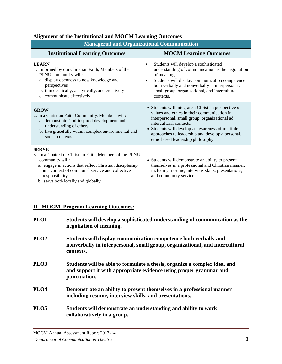|  | <b>Alignment of the Institutional and MOCM Learning Outcomes</b> |  |
|--|------------------------------------------------------------------|--|
|  |                                                                  |  |

| <b>Managerial and Organizational Communication</b>                                                                                                                                                                                                                |                                                                                                                                                                                                                                                                                                                               |  |  |  |
|-------------------------------------------------------------------------------------------------------------------------------------------------------------------------------------------------------------------------------------------------------------------|-------------------------------------------------------------------------------------------------------------------------------------------------------------------------------------------------------------------------------------------------------------------------------------------------------------------------------|--|--|--|
| <b>Institutional Learning Outcomes</b>                                                                                                                                                                                                                            | <b>MOCM Learning Outcomes</b>                                                                                                                                                                                                                                                                                                 |  |  |  |
| <b>LEARN</b><br>1. Informed by our Christian Faith, Members of the<br>PLNU community will:<br>a. display openness to new knowledge and<br>perspectives<br>b. think critically, analytically, and creatively<br>c. communicate effectively                         | Students will develop a sophisticated<br>$\bullet$<br>understanding of communication as the negotiation<br>of meaning.<br>Students will display communication competence<br>٠<br>both verbally and nonverbally in interpersonal,<br>small group, organizational, and intercultural<br>contexts.                               |  |  |  |
| <b>GROW</b><br>2. In a Christian Faith Community, Members will:<br>a. demonstrate God-inspired development and<br>understanding of others<br>b. live gracefully within complex environmental and<br>social contexts                                               | • Students will integrate a Christian perspective of<br>values and ethics in their communication in<br>interpersonal, small group, organizational ad<br>intercultural contexts.<br>• Students will develop an awareness of multiple<br>approaches to leadership and develop a personal,<br>ethic based leadership philosophy. |  |  |  |
| <b>SERVE</b><br>3. In a Context of Christian Faith, Members of the PLNU<br>community will:<br>a. engage in actions that reflect Christian discipleship<br>in a context of communal service and collective<br>responsibility<br>b. serve both locally and globally | • Students will demonstrate an ability to present<br>themselves in a professional and Christian manner,<br>including, resume, interview skills, presentations,<br>and community service.                                                                                                                                      |  |  |  |

#### **II. MOCM Program Learning Outcomes:**

| PLO1             | Students will develop a sophisticated understanding of communication as the<br>negotiation of meaning.                                                         |
|------------------|----------------------------------------------------------------------------------------------------------------------------------------------------------------|
| PLO <sub>2</sub> | Students will display communication competence both verbally and<br>nonverbally in interpersonal, small group, organizational, and intercultural<br>contexts.  |
| PLO <sub>3</sub> | Students will be able to formulate a thesis, organize a complex idea, and<br>and support it with appropriate evidence using proper grammar and<br>punctuation. |
| PLO <sub>4</sub> | Demonstrate an ability to present themselves in a professional manner<br>including resume, interview skills, and presentations.                                |
| PLO <sub>5</sub> | Students will demonstrate an understanding and ability to work<br>collaboratively in a group.                                                                  |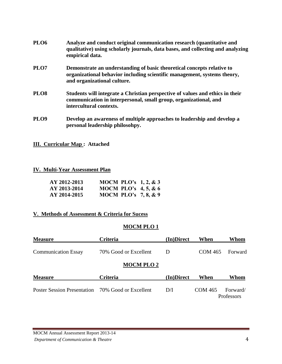| PLO <sub>6</sub> | Analyze and conduct original communication research (quantitative and<br>qualitative) using scholarly journals, data bases, and collecting and analyzing<br>empirical data.       |
|------------------|-----------------------------------------------------------------------------------------------------------------------------------------------------------------------------------|
| PLO <sub>7</sub> | Demonstrate an understanding of basic theoretical concepts relative to<br>organizational behavior including scientific management, systems theory,<br>and organizational culture. |
| PLO <sub>8</sub> | Students will integrate a Christian perspective of values and ethics in their<br>communication in interpersonal, small group, organizational, and<br>intercultural contexts.      |
| PLO <sub>9</sub> | Develop an awareness of multiple approaches to leadership and develop a<br>personal leadership philosohpy.                                                                        |

**III. Curricular Map : Attached**

#### **IV. Multi-Year Assessment Plan**

| AY 2012-2013 | <b>MOCM PLO's 1, 2, &amp; 3</b> |  |
|--------------|---------------------------------|--|
| AY 2013-2014 | MOCM PLO's $4, 5, 8, 6$         |  |
| AY 2014-2015 | <b>MOCM PLO's 7, 8, &amp; 9</b> |  |

#### **V. Methods of Assessment & Criteria for Sucess**

#### **MOCM PLO 1**

| <b>Measure</b>                                    | <b>Criteria</b>       | (In)Direct | When           | Whom                   |
|---------------------------------------------------|-----------------------|------------|----------------|------------------------|
| <b>Communication Essay</b>                        | 70% Good or Excellent | D          | <b>COM 465</b> | Forward                |
|                                                   | <b>MOCM PLO 2</b>     |            |                |                        |
| <b>Measure</b>                                    | <b>Criteria</b>       | (In)Direct | When           | Whom                   |
| Poster Session Presentation 70% Good or Excellent |                       | D/I        | COM 465        | Forward/<br>Professors |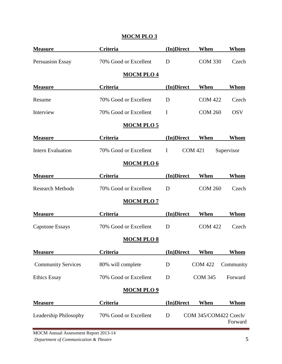| <b>Measure</b>            | Criteria              | (In)Direct  | When                  | Whom        |
|---------------------------|-----------------------|-------------|-----------------------|-------------|
| <b>Persuasion Essay</b>   | 70% Good or Excellent | D           | <b>COM 330</b>        | Czech       |
|                           | <b>MOCM PLO 4</b>     |             |                       |             |
| <b>Measure</b>            | <b>Criteria</b>       | (In)Direct  | When                  | <b>Whom</b> |
| Resume                    | 70% Good or Excellent | D           | <b>COM 422</b>        | Czech       |
| Interview                 | 70% Good or Excellent | $\mathbf I$ | <b>COM 260</b>        | <b>OSV</b>  |
|                           | <b>MOCM PLO 5</b>     |             |                       |             |
| <b>Measure</b>            | Criteria              | (In)Direct  | When                  | Whom        |
| <b>Intern Evaluation</b>  | 70% Good or Excellent | $\mathbf I$ | <b>COM 421</b>        | Supervisor  |
|                           | <b>MOCM PLO 6</b>     |             |                       |             |
| <b>Measure</b>            | Criteria              | (In)Direct  | When                  | Whom        |
| <b>Research Methods</b>   | 70% Good or Excellent | D           | <b>COM 260</b>        | Czech       |
|                           | <b>MOCM PLO 7</b>     |             |                       |             |
| <b>Measure</b>            | <b>Criteria</b>       | (In)Direct  | When                  | Whom        |
| <b>Capstone Essays</b>    | 70% Good or Excellent | D           | <b>COM 422</b>        | Czech       |
|                           | <b>MOCM PLO 8</b>     |             |                       |             |
| <b>Measure</b>            | <b>Criteria</b>       | (In)Direct  | <u>When</u>           | <u>Whom</u> |
| <b>Community Services</b> | 80% will complete     | D           | <b>COM 422</b>        | Community   |
| <b>Ethics Essay</b>       | 70% Good or Excellent | D           | <b>COM 345</b>        | Forward     |
|                           | <b>MOCM PLO 9</b>     |             |                       |             |
| <b>Measure</b>            | Criteria              | (In)Direct  | When                  | <b>Whom</b> |
| Leadership Philosophy     | 70% Good or Excellent | D           | COM 345/COM422 Czech/ | Forward     |

#### **MOCM PLO 3**

MOCM Annual Assessment Report 2013-14 *Department of Communication & Theatre* 5

٠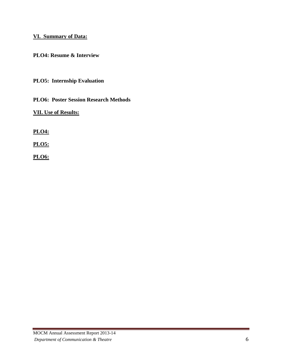#### **VI. Summary of Data:**

#### **PLO4: Resume & Interview**

#### **PLO5: Internship Evaluation**

**PLO6: Poster Session Research Methods**

**VII. Use of Results:**

**PLO4:**

**PLO5:**

**PLO6:**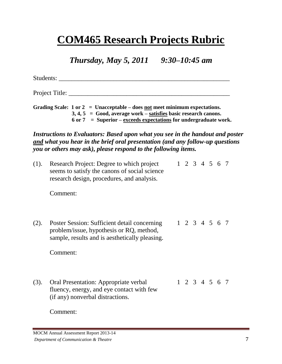# **COM465 Research Projects Rubric**

*Thursday, May 5, 2011 9:30–10:45 am*

Students: \_\_\_\_\_\_\_\_\_\_\_\_\_\_\_\_\_\_\_\_\_\_\_\_\_\_\_\_\_\_\_\_\_\_\_\_\_\_\_\_\_\_\_\_\_\_\_\_\_\_\_\_\_

Project Title:

**Grading Scale: 1 or 2 = Unacceptable – does not meet minimum expectations. 3, 4, 5 = Good, average work – satisfies basic research canons. 6 or 7 = Superior – exceeds expectations for undergraduate work.**

*Instructions to Evaluators: Based upon what you see in the handout and poster and what you hear in the brief oral presentation (and any follow-up questions you or others may ask), please respond to the following items.*

(1). Research Project: Degree to which project 1 2 3 4 5 6 7 seems to satisfy the canons of social science research design, procedures, and analysis.

Comment:

(2). Poster Session: Sufficient detail concerning 1 2 3 4 5 6 7 problem/issue, hypothesis or RQ, method, sample, results and is aesthetically pleasing.

Comment:

(3). Oral Presentation: Appropriate verbal 1 2 3 4 5 6 7 fluency, energy, and eye contact with few (if any) nonverbal distractions.

Comment: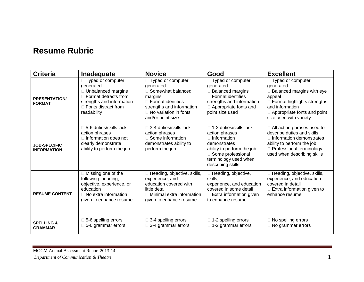## **Resume Rubric**

| <b>Criteria</b>                           | Inadequate                                                                                                                                                        | <b>Novice</b>                                                                                                                                                                         | Good                                                                                                                                                                                | <b>Excellent</b>                                                                                                                                                                                   |
|-------------------------------------------|-------------------------------------------------------------------------------------------------------------------------------------------------------------------|---------------------------------------------------------------------------------------------------------------------------------------------------------------------------------------|-------------------------------------------------------------------------------------------------------------------------------------------------------------------------------------|----------------------------------------------------------------------------------------------------------------------------------------------------------------------------------------------------|
| <b>PRESENTATION/</b><br><b>FORMAT</b>     | $\Box$ Typed or computer<br>generated<br>□ Unbalanced margins<br>$\Box$ Format detracts from<br>strengths and information<br>□ Fonts distract from<br>readability | $\Box$ Typed or computer<br>generated<br>□ Somewhat balanced<br>margins<br>$\Box$ Format identifies<br>strengths and information<br>$\Box$ No variation in fonts<br>and/or point size | □ Typed or computer<br>generated<br>□ Balanced margins<br>$\Box$ Format identifies<br>strengths and information<br>□ Appropriate fonts and<br>point size used                       | □ Typed or computer<br>generated<br><b>Balanced margins with eye</b><br>appeal<br>□ Format highlights strengths<br>and information<br>$\Box$ Appropriate fonts and point<br>size used with variety |
| <b>JOB-SPECIFIC</b><br><b>INFORMATION</b> | 5-6 duties/skills lack<br>action phrases<br>$\Box$ Information does not<br>clearly demonstrate<br>ability to perform the job                                      | 3-4 duties/skills lack<br>action phrases<br>□ Some information<br>demonstrates ability to<br>perform the job                                                                          | □ 1-2 duties/skills lack<br>action phrases<br>$\Box$ Information<br>demonstrates<br>ability to perform the job<br>□ Some professional<br>terminology used when<br>describing skills | All action phrases used to<br>describe duties and skills<br>$\Box$ Information demonstrates<br>ability to perform the job<br>□ Professional terminology<br>used when describing skills             |
| <b>RESUME CONTENT</b>                     | Missing one of the<br>following: heading,<br>objective, experience, or<br>education<br>$\Box$ No extra information<br>given to enhance resume                     | □ Heading, objective, skills,<br>experience, and<br>education covered with<br>little detail<br>$\Box$ Minimal extra information<br>given to enhance resume                            | □ Heading, objective,<br>skills.<br>experience, and education<br>covered in some detail<br>$\Box$ Extra information given<br>to enhance resume                                      | □ Heading, objective, skills,<br>experience, and education<br>covered in detail<br>$\Box$ Extra information given to<br>enhance resume                                                             |
| <b>SPELLING &amp;</b><br><b>GRAMMAR</b>   | 5-6 spelling errors<br>5-6 grammar errors                                                                                                                         | 3-4 spelling errors<br>$\Box$ 3-4 grammar errors                                                                                                                                      | $\Box$ 1-2 spelling errors<br>$\Box$ 1-2 grammar errors                                                                                                                             | No spelling errors<br>$\Box$ No grammar errors                                                                                                                                                     |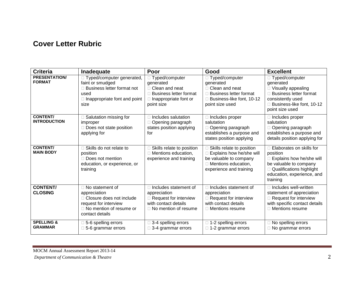### **Cover Letter Rubric**

| <b>Criteria</b>                         | Inadequate                                                                                                                                         | Poor                                                                                                                             | Good                                                                                                                                    | <b>Excellent</b>                                                                                                                                                       |
|-----------------------------------------|----------------------------------------------------------------------------------------------------------------------------------------------------|----------------------------------------------------------------------------------------------------------------------------------|-----------------------------------------------------------------------------------------------------------------------------------------|------------------------------------------------------------------------------------------------------------------------------------------------------------------------|
| <b>PRESENTATION/</b><br><b>FORMAT</b>   | □ Typed/computer generated,<br>faint or smudged<br>□ Business letter format not<br>used<br>$\Box$ Inappropriate font and point<br>size             | □ Typed/computer<br>generated<br>□ Clean and neat<br>$\Box$ Business letter format<br>$\Box$ Inappropriate font or<br>point size | $\Box$ Typed/computer<br>generated<br>□ Clean and neat<br><b>Business letter format</b><br>Business-like font, 10-12<br>point size used | □ Typed/computer<br>generated<br>□ Visually appealing<br>□ Business letter format<br>consistently used<br>□ Business-like font, 10-12<br>point size used               |
| <b>CONTENT/</b><br><b>INTRODUCTION</b>  | □ Salutation missing for<br>improper<br>□ Does not state position<br>applying for                                                                  | Includes salutation<br>$\Box$ Opening paragraph<br>states position applying<br>for                                               | Includes proper<br>salutation<br>□ Opening paragraph<br>establishes a purpose and<br>states position applying                           | □ Includes proper<br>salutation<br>□ Opening paragraph<br>establishes a purpose and<br>details position applying for                                                   |
| <b>CONTENT/</b><br><b>MAIN BODY</b>     | $\Box$ Skills do not relate to<br>position<br>Does not mention<br>education, or experience, or<br>training                                         | Skills relate to position<br>□ Mentions education,<br>experience and training                                                    | Skills relate to position<br>□ Explains how he/she will<br>be valuable to company<br>□ Mentions education,<br>experience and training   | □ Elaborates on skills for<br>position<br>□ Explains how he/she will<br>be valuable to company<br>□ Qualifications highlight<br>education, experience, and<br>training |
| <b>CONTENT/</b><br><b>CLOSING</b>       | $\Box$ No statement of<br>appreciation<br>□ Closure does not include<br>request for interview<br>$\Box$ No mention of resume or<br>contact details | □ Includes statement of<br>appreciation<br>$\Box$ Request for interview<br>with contact details<br>$\Box$ No mention of resume   | $\Box$ Includes statement of<br>appreciation<br>$\Box$ Request for interview<br>with contact details<br>$\Box$ Mentions resume          | □ Includes well-written<br>statement of appreciation<br>□ Request for interview<br>with specific contact details<br>□ Mentions resume                                  |
| <b>SPELLING &amp;</b><br><b>GRAMMAR</b> | □ 5-6 spelling errors<br>$\Box$ 5-6 grammar errors                                                                                                 | 3-4 spelling errors<br>$\Box$ 3-4 grammar errors                                                                                 | □ 1-2 spelling errors<br>$\Box$ 1-2 grammar errors                                                                                      | $\overline{\Box}$ No spelling errors<br>$\Box$ No grammar errors                                                                                                       |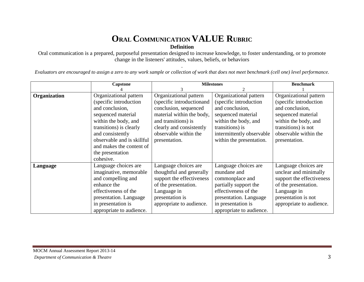#### **ORAL COMMUNICATION VALUE RUBRIC Definition**

Oral communication is a prepared, purposeful presentation designed to increase knowledge, to foster understanding, or to promote change in the listeners' attitudes, values, beliefs, or behaviors

. *Evaluators are encouraged to assign a zero to any work sample or collection of work that does not meet benchmark (cell one) level performance.*

|              | <b>Capstone</b>            |                           | <b>Milestones</b>         | <b>Benchmark</b>          |
|--------------|----------------------------|---------------------------|---------------------------|---------------------------|
|              |                            |                           | $\mathcal{D}$             |                           |
| Organization | Organizational pattern     | Organizational pattern    | Organizational pattern    | Organizational pattern    |
|              | (specific introduction     | (specific introductionand | (specific introduction)   | (specific introduction)   |
|              | and conclusion,            | conclusion, sequenced     | and conclusion,           | and conclusion,           |
|              | sequenced material         | material within the body, | sequenced material        | sequenced material        |
|              | within the body, and       | and transitions) is       | within the body, and      | within the body, and      |
|              | transitions) is clearly    | clearly and consistently  | transitions) is           | transitions) is not       |
|              | and consistently           | observable within the     | intermittently observable | observable within the     |
|              | observable and is skillful | presentation.             | within the presentation.  | presentation.             |
|              | and makes the content of   |                           |                           |                           |
|              | the presentation           |                           |                           |                           |
|              | cohesive.                  |                           |                           |                           |
| Language     | Language choices are       | Language choices are      | Language choices are      | Language choices are      |
|              | imaginative, memorable     | thoughtful and generally  | mundane and               | unclear and minimally     |
|              | and compelling and         | support the effectiveness | commonplace and           | support the effectiveness |
|              | enhance the                | of the presentation.      | partially support the     | of the presentation.      |
|              | effectiveness of the       | Language in               | effectiveness of the      | Language in               |
|              | presentation. Language     | presentation is           | presentation. Language    | presentation is not       |
|              | in presentation is         | appropriate to audience.  | in presentation is        | appropriate to audience.  |
|              | appropriate to audience.   |                           | appropriate to audience.  |                           |